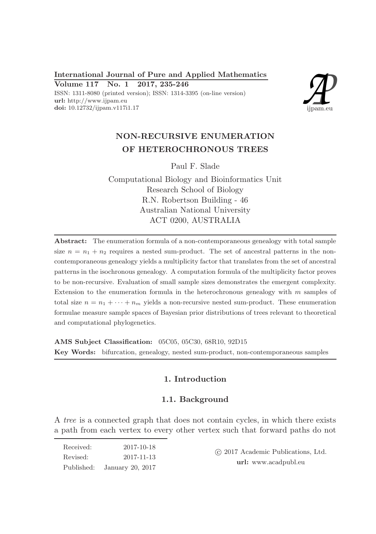International Journal of Pure and Applied Mathematics Volume 117 No. 1 2017, 235-246

ISSN: 1311-8080 (printed version); ISSN: 1314-3395 (on-line version) url: http://www.ijpam.eu doi: 10.12732/ijpam.v117i1.17



# NON-RECURSIVE ENUMERATION OF HETEROCHRONOUS TREES

Paul F. Slade

Computational Biology and Bioinformatics Unit Research School of Biology R.N. Robertson Building - 46 Australian National University ACT 0200, AUSTRALIA

Abstract: The enumeration formula of a non-contemporaneous genealogy with total sample size  $n = n_1 + n_2$  requires a nested sum-product. The set of ancestral patterns in the noncontemporaneous genealogy yields a multiplicity factor that translates from the set of ancestral patterns in the isochronous genealogy. A computation formula of the multiplicity factor proves to be non-recursive. Evaluation of small sample sizes demonstrates the emergent complexity. Extension to the enumeration formula in the heterochronous genealogy with  $m$  samples of total size  $n = n_1 + \cdots + n_m$  yields a non-recursive nested sum-product. These enumeration formulae measure sample spaces of Bayesian prior distributions of trees relevant to theoretical and computational phylogenetics.

AMS Subject Classification: 05C05, 05C30, 68R10, 92D15 Key Words: bifurcation, genealogy, nested sum-product, non-contemporaneous samples

# 1. Introduction

# 1.1. Background

A tree is a connected graph that does not contain cycles, in which there exists a path from each vertex to every other vertex such that forward paths do not

| Received:  | 2017-10-18       |  |
|------------|------------------|--|
| Revised:   | 2017-11-13       |  |
| Published: | January 20, 2017 |  |

 c 2017 Academic Publications, Ltd. url: www.acadpubl.eu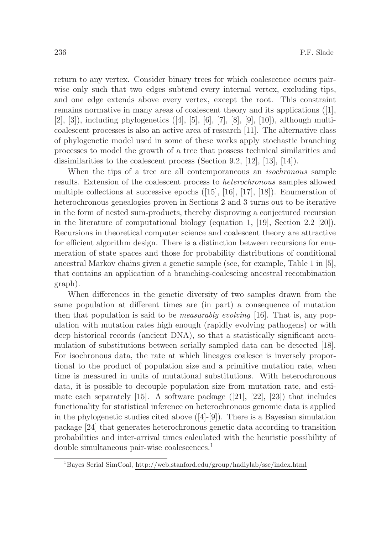return to any vertex. Consider binary trees for which coalescence occurs pairwise only such that two edges subtend every internal vertex, excluding tips, and one edge extends above every vertex, except the root. This constraint remains normative in many areas of coalescent theory and its applications ([1],  $[2], [3]$ , including phylogenetics  $([4], [5], [6], [7], [8], [9], [10]$ , although multicoalescent processes is also an active area of research [11]. The alternative class of phylogenetic model used in some of these works apply stochastic branching processes to model the growth of a tree that possess technical similarities and dissimilarities to the coalescent process (Section 9.2, [12], [13], [14]).

When the tips of a tree are all contemporaneous an *isochronous* sample results. Extension of the coalescent process to heterochronous samples allowed multiple collections at successive epochs  $([15], [16], [17], [18])$ . Enumeration of heterochronous genealogies proven in Sections 2 and 3 turns out to be iterative in the form of nested sum-products, thereby disproving a conjectured recursion in the literature of computational biology (equation 1, [19], Section 2.2 [20]). Recursions in theoretical computer science and coalescent theory are attractive for efficient algorithm design. There is a distinction between recursions for enumeration of state spaces and those for probability distributions of conditional ancestral Markov chains given a genetic sample (see, for example, Table 1 in [5], that contains an application of a branching-coalescing ancestral recombination graph).

When differences in the genetic diversity of two samples drawn from the same population at different times are (in part) a consequence of mutation then that population is said to be measurably evolving [16]. That is, any population with mutation rates high enough (rapidly evolving pathogens) or with deep historical records (ancient DNA), so that a statistically significant accumulation of substitutions between serially sampled data can be detected [18]. For isochronous data, the rate at which lineages coalesce is inversely proportional to the product of population size and a primitive mutation rate, when time is measured in units of mutational substitutions. With heterochronous data, it is possible to decouple population size from mutation rate, and estimate each separately [15]. A software package  $([21], [22], [23])$  that includes functionality for statistical inference on heterochronous genomic data is applied in the phylogenetic studies cited above  $([4]-[9])$ . There is a Bayesian simulation package [24] that generates heterochronous genetic data according to transition probabilities and inter-arrival times calculated with the heuristic possibility of double simultaneous pair-wise coalescences.<sup>1</sup>

<sup>1</sup>Bayes Serial SimCoal, http://web.stanford.edu/group/hadlylab/ssc/index.html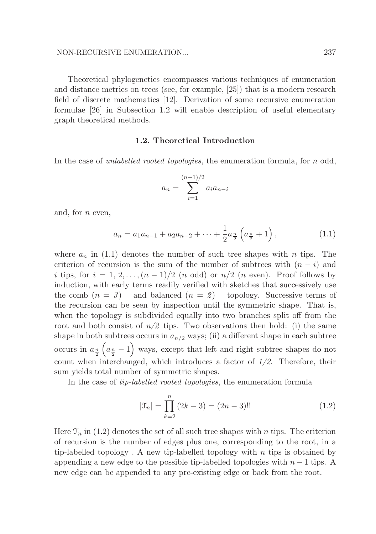Theoretical phylogenetics encompasses various techniques of enumeration and distance metrics on trees (see, for example, [25]) that is a modern research field of discrete mathematics [12]. Derivation of some recursive enumeration formulae [26] in Subsection 1.2 will enable description of useful elementary graph theoretical methods.

### 1.2. Theoretical Introduction

In the case of *unlabelled rooted topologies*, the enumeration formula, for n odd,

$$
a_n = \sum_{i=1}^{(n-1)/2} a_i a_{n-i}
$$

and, for n even,

$$
a_n = a_1 a_{n-1} + a_2 a_{n-2} + \dots + \frac{1}{2} a_{\frac{n}{2}} \left( a_{\frac{n}{2}} + 1 \right), \tag{1.1}
$$

where  $a_n$  in (1.1) denotes the number of such tree shapes with n tips. The criterion of recursion is the sum of the number of subtrees with  $(n - i)$  and i tips, for  $i = 1, 2, \ldots, (n-1)/2$  (n odd) or  $n/2$  (n even). Proof follows by induction, with early terms readily verified with sketches that successively use the comb  $(n = 3)$  and balanced  $(n = 2)$  topology. Successive terms of the recursion can be seen by inspection until the symmetric shape. That is, when the topology is subdivided equally into two branches split off from the root and both consist of  $n/2$  tips. Two observations then hold: (i) the same shape in both subtrees occurs in  $a_{n/2}$  ways; (ii) a different shape in each subtree occurs in  $a_{\frac{n}{2}}(a_{\frac{n}{2}}-1)$  ways, except that left and right subtree shapes do not count when interchanged, which introduces a factor of 1/2. Therefore, their sum yields total number of symmetric shapes.

In the case of tip-labelled rooted topologies, the enumeration formula

$$
|\mathfrak{T}_n| = \prod_{k=2}^n (2k-3) = (2n-3)!! \tag{1.2}
$$

Here  $\mathfrak{T}_n$  in (1.2) denotes the set of all such tree shapes with n tips. The criterion of recursion is the number of edges plus one, corresponding to the root, in a tip-labelled topology. A new tip-labelled topology with  $n$  tips is obtained by appending a new edge to the possible tip-labelled topologies with  $n-1$  tips. A new edge can be appended to any pre-existing edge or back from the root.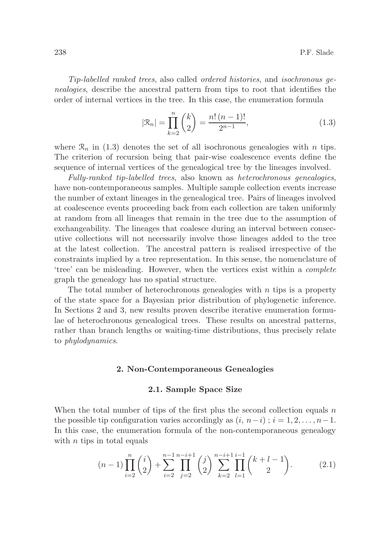Tip-labelled ranked trees, also called ordered histories, and isochronous genealogies, describe the ancestral pattern from tips to root that identifies the order of internal vertices in the tree. In this case, the enumeration formula

$$
|\mathcal{R}_n| = \prod_{k=2}^n \binom{k}{2} = \frac{n! \ (n-1)!}{2^{n-1}},\tag{1.3}
$$

where  $\mathcal{R}_n$  in (1.3) denotes the set of all isochronous genealogies with n tips. The criterion of recursion being that pair-wise coalescence events define the sequence of internal vertices of the genealogical tree by the lineages involved.

Fully-ranked tip-labelled trees, also known as heterochronous genealogies, have non-contemporaneous samples. Multiple sample collection events increase the number of extant lineages in the genealogical tree. Pairs of lineages involved at coalescence events proceeding back from each collection are taken uniformly at random from all lineages that remain in the tree due to the assumption of exchangeability. The lineages that coalesce during an interval between consecutive collections will not necessarily involve those lineages added to the tree at the latest collection. The ancestral pattern is realised irrespective of the constraints implied by a tree representation. In this sense, the nomenclature of 'tree' can be misleading. However, when the vertices exist within a complete graph the genealogy has no spatial structure.

The total number of heterochronous genealogies with  $n$  tips is a property of the state space for a Bayesian prior distribution of phylogenetic inference. In Sections 2 and 3, new results proven describe iterative enumeration formulae of heterochronous genealogical trees. These results on ancestral patterns, rather than branch lengths or waiting-time distributions, thus precisely relate to phylodynamics.

## 2. Non-Contemporaneous Genealogies

#### 2.1. Sample Space Size

When the total number of tips of the first plus the second collection equals  $n$ the possible tip configuration varies accordingly as  $(i, n-i)$ ;  $i = 1, 2, \ldots, n-1$ . In this case, the enumeration formula of the non-contemporaneous genealogy with  $n$  tips in total equals

$$
(n-1)\prod_{i=2}^{n} {i \choose 2} + \sum_{i=2}^{n-1} \prod_{j=2}^{n-i+1} {j \choose 2} \sum_{k=2}^{n-i+1} \prod_{l=1}^{i-1} {k+l-1 \choose 2}.
$$
 (2.1)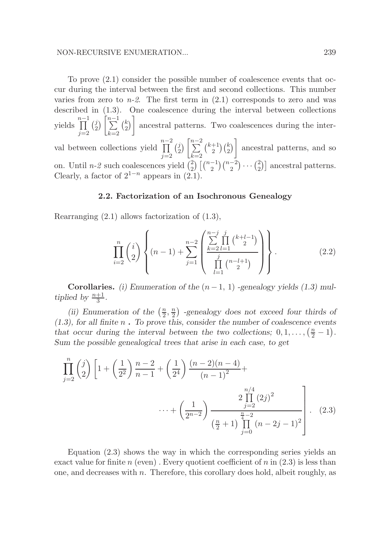To prove (2.1) consider the possible number of coalescence events that occur during the interval between the first and second collections. This number varies from zero to  $n-2$ . The first term in  $(2.1)$  corresponds to zero and was described in (1.3). One coalescence during the interval between collections yields  $\prod^{n-1}$  $j=2$  $\begin{pmatrix} j \\ 2 \end{pmatrix}$  $\binom{j}{2}$   $\left[\sum_{n=1}^{n-1}$  $k=2$  $\binom{k}{2}$  $\binom{k}{2}$  ancestral patterns. Two coalescences during the interval between collections yield  $\prod^{n-2}$  $j=2$  $\begin{pmatrix} j \\ 2 \end{pmatrix}$  $\binom{j}{2}$   $\left[\sum_{n=2}^{n-2}\right]$  $k=2$  $\binom{k+1}{2}$  $\binom{+1}{2}\binom{k}{2}$  ancestral patterns, and so on. Until *n*-2 such coalescences yield  $\binom{2}{2}$  $_{2}^{2}$ )  $\binom{n-1}{2}$  $\binom{n-2}{2}$   $\cdots$   $\binom{2}{2}$  $\binom{2}{2}$  ancestral patterns. Clearly, a factor of  $2^{1-n}$  appears in  $(2.1)$ .

#### 2.2. Factorization of an Isochronous Genealogy

Rearranging (2.1) allows factorization of (1.3),

$$
\prod_{i=2}^{n} {i \choose 2} \left\{ (n-1) + \sum_{j=1}^{n-2} \left( \frac{\sum_{k=2}^{n-j} \prod_{l=1}^{j} {k+l-1 \choose 2}}{\prod_{l=1}^{j} {n-l+1 \choose 2}} \right) \right\}.
$$
\n(2.2)

Corollaries. (i) Enumeration of the  $(n-1, 1)$  -genealogy yields (1.3) multiplied by  $\frac{n+1}{3}$ .

(ii) Enumeration of the  $\left(\frac{n}{2}\right)$  $\frac{n}{2},\frac{n}{2}$  $\binom{n}{2}$  -genealogy does not exceed four thirds of  $(1.3)$ , for all finite n. To prove this, consider the number of coalescence events that occur during the interval between the two collections;  $0, 1, \ldots, \left(\frac{n}{2} - 1\right)$ . Sum the possible genealogical trees that arise in each case, to get

$$
\prod_{j=2}^{n} {j \choose 2} \left[ 1 + \left(\frac{1}{2^2}\right) \frac{n-2}{n-1} + \left(\frac{1}{2^4}\right) \frac{(n-2)(n-4)}{(n-1)^2} + \cdots + \left(\frac{1}{2^{n-2}}\right) \frac{2 \prod_{j=2}^{n/4} (2j)^2}{\left(\frac{n}{2} + 1\right) \prod_{j=0}^{n-2} (n-2j-1)^2} \right].
$$
 (2.3)

Equation (2.3) shows the way in which the corresponding series yields an exact value for finite n (even). Every quotient coefficient of n in  $(2.3)$  is less than one, and decreases with  $n$ . Therefore, this corollary does hold, albeit roughly, as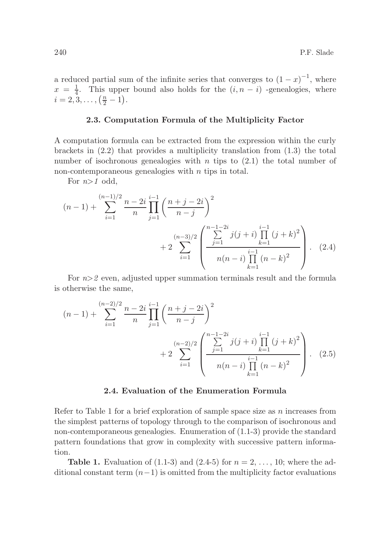a reduced partial sum of the infinite series that converges to  $(1-x)^{-1}$ , where  $x = \frac{1}{4}$  $\frac{1}{4}$ . This upper bound also holds for the  $(i, n - i)$  -genealogies, where  $i = 2, 3, \ldots, \left(\frac{n}{2} - 1\right).$ 

#### 2.3. Computation Formula of the Multiplicity Factor

A computation formula can be extracted from the expression within the curly brackets in  $(2.2)$  that provides a multiplicity translation from  $(1.3)$  the total number of isochronous genealogies with n tips to  $(2.1)$  the total number of non-contemporaneous genealogies with  $n$  tips in total.

For  $n>1$  odd,

$$
(n-1) + \sum_{i=1}^{(n-1)/2} \frac{n-2i}{n} \prod_{j=1}^{i-1} \left( \frac{n+j-2i}{n-j} \right)^2 + 2 \sum_{i=1}^{(n-3)/2} \left( \frac{\sum_{j=1}^{n-1-2i} j(j+i) \prod_{k=1}^{i-1} (j+k)^2}{n(n-i) \prod_{k=1}^{i-1} (n-k)^2} \right). \tag{2.4}
$$

For  $n>2$  even, adjusted upper summation terminals result and the formula is otherwise the same,

$$
(n-1) + \sum_{i=1}^{(n-2)/2} \frac{n-2i}{n} \prod_{j=1}^{i-1} \left( \frac{n+j-2i}{n-j} \right)^2 + 2 \sum_{i=1}^{(n-2)/2} \left( \frac{\sum_{j=1}^{n-1-2i} j(j+i) \prod_{k=1}^{i-1} (j+k)^2}{n(n-i) \prod_{k=1}^{i-1} (n-k)^2} \right). \tag{2.5}
$$

# 2.4. Evaluation of the Enumeration Formula

Refer to Table 1 for a brief exploration of sample space size as  $n$  increases from the simplest patterns of topology through to the comparison of isochronous and non-contemporaneous genealogies. Enumeration of (1.1-3) provide the standard pattern foundations that grow in complexity with successive pattern information.

**Table 1.** Evaluation of  $(1.1-3)$  and  $(2.4-5)$  for  $n = 2, ..., 10$ ; where the additional constant term  $(n-1)$  is omitted from the multiplicity factor evaluations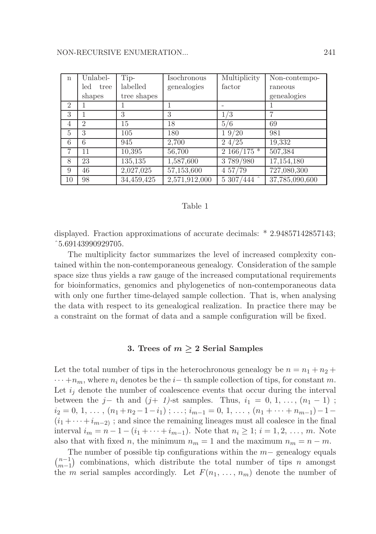| $\mathbf n$    | Unlabel-       | Tip-        | Isochronous   | Multiplicity   | Non-contempo-  |
|----------------|----------------|-------------|---------------|----------------|----------------|
|                | led<br>tree    | labelled    | genealogies   | factor         | raneous        |
|                | shapes         | tree shapes |               |                | genealogies    |
| $\overline{2}$ |                |             |               |                |                |
| 3              |                | 3           | 3             | 1/3            | ד              |
| $\overline{4}$ | $\overline{2}$ | 15          | 18            | 5/6            | 69             |
| 5              | 3              | 105         | 180           | 19/20          | 981            |
| 6              | 6              | 945         | 2,700         | 24/25          | 19,332         |
| $\overline{7}$ | 11             | 10,395      | 56,700        | $2~166/175$ *  | 507,384        |
| 8              | 23             | 135,135     | 1,587,600     | 3789/980       | 17,154,180     |
| 9              | 46             | 2,027,025   | 57,153,600    | 4 57/79        | 727,080,300    |
| 10             | 98             | 34,459,425  | 2,571,912,000 | $5\;307/444$ ^ | 37,785,090,600 |

#### Table 1

displayed. Fraction approximations of accurate decimals: \* 2.94857142857143; ˆ5.69143990929705.

The multiplicity factor summarizes the level of increased complexity contained within the non-contemporaneous genealogy. Consideration of the sample space size thus yields a raw gauge of the increased computational requirements for bioinformatics, genomics and phylogenetics of non-contemporaneous data with only one further time-delayed sample collection. That is, when analysing the data with respect to its genealogical realization. In practice there may be a constraint on the format of data and a sample configuration will be fixed.

## 3. Trees of  $m \geq 2$  Serial Samples

Let the total number of tips in the heterochronous genealogy be  $n = n_1 + n_2 + \cdots$  $\cdots +n_m$ , where  $n_i$  denotes be the  $i-$  th sample collection of tips, for constant m. Let  $i_j$  denote the number of coalescence events that occur during the interval between the j– th and  $(j+1)$ -st samples. Thus,  $i_1 = 0, 1, \ldots, (n_1 - 1)$ ;  $i_2 = 0, 1, \ldots, (n_1 + n_2 - 1 - i_1) ; \ldots; i_{m-1} = 0, 1, \ldots, (n_1 + \cdots + n_{m-1}) - 1 (i_1 + \cdots + i_{m-2})$ ; and since the remaining lineages must all coalesce in the final interval  $i_m = n - 1 - (i_1 + \cdots + i_{m-1})$ . Note that  $n_i \geq 1$ ;  $i = 1, 2, \ldots, m$ . Note also that with fixed *n*, the minimum  $n_m = 1$  and the maximum  $n_m = n - m$ .

The number of possible tip configurations within the  $m-$  genealogy equals  $\binom{n-1}{m-1}$  $\binom{n-1}{m-1}$  combinations, which distribute the total number of tips *n* amongst the m serial samples accordingly. Let  $F(n_1, \ldots, n_m)$  denote the number of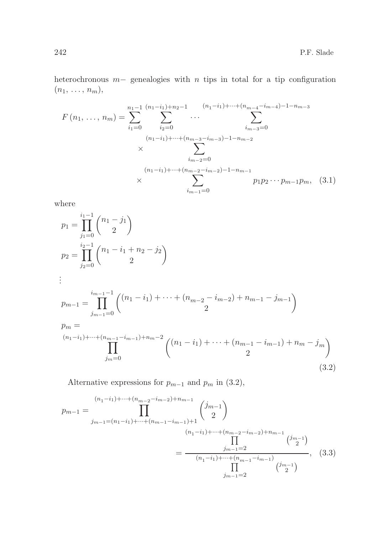heterochronous m− genealogies with n tips in total for a tip configuration  $(n_1, \ldots, n_m),$ 

$$
F(n_1, ..., n_m) = \sum_{i_1=0}^{n_1-1} \sum_{i_2=0}^{(n_1-i_1)+n_2-1} \cdots \sum_{i_{m-3}=0}^{(n_1-i_1)+\cdots+(n_{m-4}-i_{m-4})-1-n_{m-3}}
$$
  

$$
\times \sum_{i_{m-2}=0}^{(n_1-i_1)+\cdots+(n_{m-3}-i_{m-3})-1-n_{m-2}}
$$
  

$$
\times \sum_{i_{m-2}=0}^{(n_1-i_1)+\cdots+(n_{m-2}-i_{m-2})-1-n_{m-1}} p_1 p_2 \cdots p_{m-1} p_m, (3.1)
$$

where

$$
p_1 = \prod_{j_1=0}^{i_1-1} {n_1 - j_1 \choose 2}
$$
  
\n
$$
p_2 = \prod_{j_2=0}^{i_2-1} {n_1 - i_1 + n_2 - j_2 \choose 2}
$$
  
\n
$$
\vdots
$$
  
\n
$$
p_{m-1} = \prod_{j_{m-1}=0}^{i_{m-1}-1} {n_1 - i_1 + n_2 - j_2 \choose 2}
$$
  
\n
$$
p_m =
$$
  
\n
$$
p_m =
$$
  
\n
$$
(n_1-i_1) + \dots + (n_{m-1}-i_{m-1}) + n_m - 2 \choose 2} {n_1 - i_1 + \dots + (n_{m-1}-i_{m-1}) + n_m - j_m \choose 2}
$$
  
\n
$$
\prod_{j_m=0}^{j_m=0} {n_1 - i_1 + \dots + (n_{m-1}-i_{m-1}) + n_m - j_m \choose 2}
$$
  
\n(3.2)

Alternative expressions for  $p_{m-1}$  and  $p_m$  in (3.2),

$$
p_{m-1} = \prod_{j_{m-1}=(n_1-i_1)+\cdots+(n_{m-2}-i_{m-2})+n_{m-1}}^{(n_1-i_1)+\cdots+(n_{m-2}-i_{m-2})+n_{m-1}} \binom{j_{m-1}}{2}
$$
  

$$
= \frac{j_{m-1} = 2}{(n_1-i_1)+\cdots+(n_{m-2}-i_{m-2})+n_{m-1}} \binom{j_{m-1}}{2}
$$
  

$$
= \frac{j_{m-1} = 2}{(n_1-i_1)+\cdots+(n_{m-1}-i_{m-1})}, \quad (3.3)
$$
  

$$
\prod_{j_{m-1} = 2}^{j_{m-1} = 2}
$$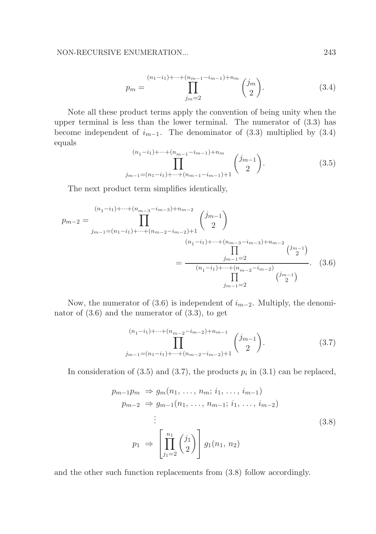$$
p_m = \prod_{j_m=2}^{(n_1 - i_1) + \dots + (n_{m-1} - i_{m-1}) + n_m} \binom{j_m}{2}.
$$
 (3.4)

Note all these product terms apply the convention of being unity when the upper terminal is less than the lower terminal. The numerator of (3.3) has become independent of  $i_{m-1}$ . The denominator of (3.3) multiplied by (3.4) equals

$$
(n_1 - i_1) + \dots + (n_{m-1} - i_{m-1}) + n_m
$$
  
\n
$$
\prod_{j_{m-1} = (n_1 - i_1) + \dots + (n_{m-1} - i_{m-1}) + 1} \binom{j_{m-1}}{2}.
$$
\n(3.5)

The next product term simplifies identically,

$$
p_{m-2} = \prod_{j_{m-1}=(n_1-i_1)+\dots+(n_{m-3}-i_{m-2})+1}^{(n_1-i_1)+\dots+(n_{m-3}-i_{m-3})+n_{m-2}} \binom{j_{m-1}}{2}
$$

$$
= \frac{\prod_{j_{m-1}=(n_1-i_1)+\dots+(n_{m-3}-i_{m-3})+n_{m-2}}^{(j_{m-1})-1} \binom{j_{m-1}}{2}}{\prod_{j_{m-1}=(n_1-i_1)+\dots+(n_{m-2}-i_{m-2})}^{(j_{m-1})}}.
$$
(3.6)

Now, the numerator of (3.6) is independent of  $i_{m-2}$ . Multiply, the denominator of  $(3.6)$  and the numerator of  $(3.3)$ , to get

$$
(n_1 - i_1) + \dots + (n_{m-2} - i_{m-2}) + n_{m-1} \n\prod_{j_{m-1} = (n_1 - i_1) + \dots + (n_{m-2} - i_{m-2}) + 1}^{(n_1 - i_1) + \dots + (n_{m-2} - i_{m-2}) + 1} \n\binom{j_{m-1}}{2}.
$$
\n(3.7)

In consideration of (3.5) and (3.7), the products  $p_i$  in (3.1) can be replaced,

$$
p_{m-1}p_m \Rightarrow g_m(n_1, \ldots, n_m; i_1, \ldots, i_{m-1})
$$
  
\n
$$
p_{m-2} \Rightarrow g_{m-1}(n_1, \ldots, n_{m-1}; i_1, \ldots, i_{m-2})
$$
  
\n
$$
\vdots
$$
  
\n
$$
p_1 \Rightarrow \left[ \prod_{j_1=2}^{n_1} {j_1 \choose 2} \right] g_1(n_1, n_2)
$$
  
\n(3.8)

and the other such function replacements from (3.8) follow accordingly.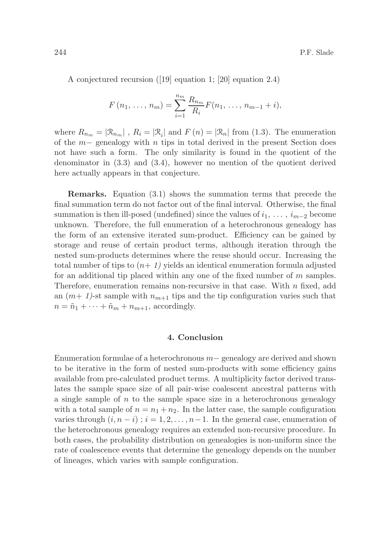A conjectured recursion ([19] equation 1; [20] equation 2.4)

$$
F(n_1, \ldots, n_m) = \sum_{i=1}^{n_m} \frac{R_{n_m}}{R_i} F(n_1, \ldots, n_{m-1} + i),
$$

where  $R_{n_m} = |\mathcal{R}_{n_m}|$ ,  $R_i = |\mathcal{R}_i|$  and  $F(n) = |\mathcal{R}_n|$  from (1.3). The enumeration of the m− genealogy with n tips in total derived in the present Section does not have such a form. The only similarity is found in the quotient of the denominator in (3.3) and (3.4), however no mention of the quotient derived here actually appears in that conjecture.

Remarks. Equation (3.1) shows the summation terms that precede the final summation term do not factor out of the final interval. Otherwise, the final summation is then ill-posed (undefined) since the values of  $i_1, \ldots, i_{m-2}$  become unknown. Therefore, the full enumeration of a heterochronous genealogy has the form of an extensive iterated sum-product. Efficiency can be gained by storage and reuse of certain product terms, although iteration through the nested sum-products determines where the reuse should occur. Increasing the total number of tips to  $(n+1)$  yields an identical enumeration formula adjusted for an additional tip placed within any one of the fixed number of m samples. Therefore, enumeration remains non-recursive in that case. With  $n$  fixed, add an  $(m+1)$ -st sample with  $n_{m+1}$  tips and the tip configuration varies such that  $n = \tilde{n}_1 + \cdots + \tilde{n}_m + n_{m+1}$ , accordingly.

# 4. Conclusion

Enumeration formulae of a heterochronous m− genealogy are derived and shown to be iterative in the form of nested sum-products with some efficiency gains available from pre-calculated product terms. A multiplicity factor derived translates the sample space size of all pair-wise coalescent ancestral patterns with a single sample of  $n$  to the sample space size in a heterochronous genealogy with a total sample of  $n = n_1 + n_2$ . In the latter case, the sample configuration varies through  $(i, n - i)$ ;  $i = 1, 2, ..., n - 1$ . In the general case, enumeration of the heterochronous genealogy requires an extended non-recursive procedure. In both cases, the probability distribution on genealogies is non-uniform since the rate of coalescence events that determine the genealogy depends on the number of lineages, which varies with sample configuration.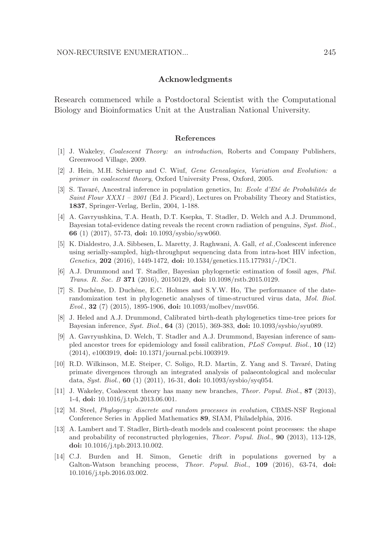## Acknowledgments

Research commenced while a Postdoctoral Scientist with the Computational Biology and Bioinformatics Unit at the Australian National University.

#### References

- [1] J. Wakeley, *Coalescent Theory: an introduction*, Roberts and Company Publishers, Greenwood Village, 2009.
- [2] J. Hein, M.H. Schierup and C. Wiuf, *Gene Genealogies, Variation and Evolution: a primer in coalescent theory*, Oxford University Press, Oxford, 2005.
- [3] S. Tavaré, Ancestral inference in population genetics, In: *Ecole d'Eté de Probabilités de Saint Flour XXX1 – 2001* (Ed J. Picard), Lectures on Probability Theory and Statistics, 1837, Springer-Verlag, Berlin, 2004, 1-188.
- [4] A. Gavryushkina, T.A. Heath, D.T. Ksepka, T. Stadler, D. Welch and A.J. Drummond, Bayesian total-evidence dating reveals the recent crown radiation of penguins, *Syst. Biol.*, 66 (1) (2017), 57-73, doi: 10.1093/sysbio/syw060.
- [5] K. Dialdestro, J.A. Sibbesen, L. Maretty, J. Raghwani, A. Gall, *et al.,*Coalescent inference using serially-sampled, high-throughput sequencing data from intra-host HIV infection, *Genetics*, 202 (2016), 1449-1472, doi: 10.1534/genetics.115.177931/-/DC1.
- [6] A.J. Drummond and T. Stadler, Bayesian phylogenetic estimation of fossil ages, *Phil. Trans. R. Soc. B* 371 (2016), 20150129, doi: 10.1098/rstb.2015.0129.
- [7] S. Duchêne, D. Duchêne, E.C. Holmes and S.Y.W. Ho, The performance of the daterandomization test in phylogenetic analyses of time-structured virus data, *Mol. Biol. Evol.*, 32 (7) (2015), 1895-1906, doi: 10.1093/molbev/msv056.
- [8] J. Heled and A.J. Drummond, Calibrated birth-death phylogenetics time-tree priors for Bayesian inference, *Syst. Biol.*, 64 (3) (2015), 369-383, doi: 10.1093/sysbio/syu089.
- [9] A. Gavryushkina, D. Welch, T. Stadler and A.J. Drummond, Bayesian inference of sampled ancestor trees for epidemiology and fossil calibration, *PLoS Comput. Biol.*, 10 (12) (2014), e1003919, doi: 10.1371/journal.pcbi.1003919.
- [10] R.D. Wilkinson, M.E. Steiper, C. Soligo, R.D. Martin, Z. Yang and S. Tavaré, Dating primate divergences through an integrated analysis of palaeontological and molecular data, *Syst. Biol.*, 60 (1) (2011), 16-31, doi: 10.1093/sysbio/syq054.
- [11] J. Wakeley, Coalescent theory has many new branches, *Theor. Popul. Biol.*, 87 (2013), 1-4, doi: 10.1016/j.tpb.2013.06.001.
- [12] M. Steel, *Phylogeny: discrete and random processes in evolution*, CBMS-NSF Regional Conference Series in Applied Mathematics 89, SIAM, Philadelphia, 2016.
- [13] A. Lambert and T. Stadler, Birth-death models and coalescent point processes: the shape and probability of reconstructed phylogenies, *Theor. Popul. Biol.*, 90 (2013), 113-128, doi: 10.1016/j.tpb.2013.10.002.
- [14] C.J. Burden and H. Simon, Genetic drift in populations governed by a Galton-Watson branching process, *Theor. Popul. Biol.*, 109 (2016), 63-74, doi: 10.1016/j.tpb.2016.03.002.